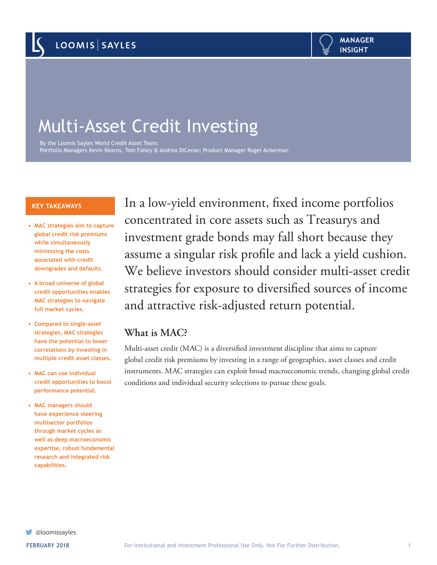# Multi-Asset Credit Investing

By the Loomis Sayles World Credit Asset Team: Portfolio Managers Kevin Kearns, Tom Fahey & Andrea DiCenso; Product Manager Roger Ackerman

#### **KEY TAKEAWAYS**

- **• MAC strategies aim to capture global credit risk premiums while simultaneously minimizing the costs associated with credit downgrades and defaults.**
- **• A broad universe of global credit opportunities enables MAC strategies to navigate full market cycles.**
- **• Compared to single-asset strategies, MAC strategies have the potential to lower correlations by investing in multiple credit asset classes.**
- **• MAC can use individual credit opportunities to boost performance potential.**
- **• MAC managers should have experience steering multisector portfolios through market cycles as well as deep macroeconomic expertise, robust fundamental research and integrated risk capabilities.**

In a low-yield environment, fixed income portfolios concentrated in core assets such as Treasurys and investment grade bonds may fall short because they assume a singular risk profile and lack a yield cushion. We believe investors should consider multi-asset credit strategies for exposure to diversified sources of income and attractive risk-adjusted return potential.

# **What is MAC?**

Multi-asset credit (MAC) is a diversified investment discipline that aims to capture global credit risk premiums by investing in a range of geographies, asset classes and credit instruments. MAC strategies can exploit broad macroeconomic trends, changing global credit conditions and individual security selections to pursue these goals.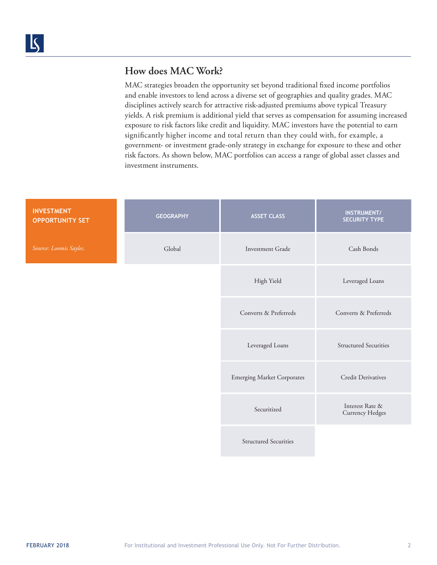# **How does MAC Work?**

MAC strategies broaden the opportunity set beyond traditional fixed income portfolios and enable investors to lend across a diverse set of geographies and quality grades. MAC disciplines actively search for attractive risk-adjusted premiums above typical Treasury yields. A risk premium is additional yield that serves as compensation for assuming increased exposure to risk factors like credit and liquidity. MAC investors have the potential to earn significantly higher income and total return than they could with, for example, a government- or investment grade-only strategy in exchange for exposure to these and other risk factors. As shown below, MAC portfolios can access a range of global asset classes and investment instruments.

| <b>INVESTMENT</b><br><b>OPPORTUNITY SET</b> | <b>GEOGRAPHY</b> | <b>ASSET CLASS</b>                | <b>INSTRUMENT/</b><br><b>SECURITY TYPE</b> |
|---------------------------------------------|------------------|-----------------------------------|--------------------------------------------|
| Source: Loomis Sayles.                      | Global           | Investment Grade                  | Cash Bonds                                 |
|                                             |                  | High Yield                        | Leveraged Loans                            |
|                                             |                  | Converts & Preferreds             | Converts & Preferreds                      |
|                                             |                  | Leveraged Loans                   | <b>Structured Securities</b>               |
|                                             |                  | <b>Emerging Market Corporates</b> | <b>Credit Derivatives</b>                  |
|                                             |                  | Securitized                       | Interest Rate &<br><b>Currency Hedges</b>  |
|                                             |                  | <b>Structured Securities</b>      |                                            |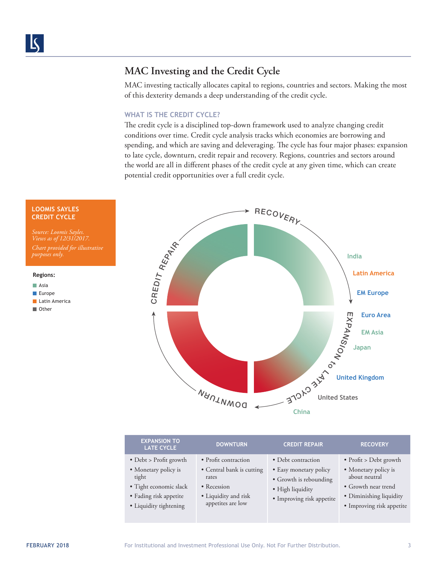**Asia** 

# **MAC Investing and the Credit Cycle**

MAC investing tactically allocates capital to regions, countries and sectors. Making the most of this dexterity demands a deep understanding of the credit cycle.

### **WHAT IS THE CREDIT CYCLE?**

The credit cycle is a disciplined top-down framework used to analyze changing credit conditions over time. Credit cycle analysis tracks which economies are borrowing and spending, and which are saving and deleveraging. The cycle has four major phases: expansion to late cycle, downturn, credit repair and recovery. Regions, countries and sectors around the world are all in different phases of the credit cycle at any given time, which can create potential credit opportunities over a full credit cycle.



| <b>EXPANSION TO</b><br><b>LATE CYCLE</b>                                                                                              | <b>DOWNTURN</b>                                                                                                        | <b>CREDIT REPAIR</b>                                                                                                    | <b>RECOVERY</b>                                                                                                                                        |
|---------------------------------------------------------------------------------------------------------------------------------------|------------------------------------------------------------------------------------------------------------------------|-------------------------------------------------------------------------------------------------------------------------|--------------------------------------------------------------------------------------------------------------------------------------------------------|
| • Debt > Profit growth<br>• Monetary policy is<br>tight<br>· Tight economic slack<br>• Fading risk appetite<br>· Liquidity tightening | • Profit contraction<br>• Central bank is cutting<br>rates<br>• Recession<br>• Liquidity and risk<br>appetites are low | • Debt contraction<br>• Easy monetary policy<br>• Growth is rebounding<br>• High liquidity<br>• Improving risk appetite | $\bullet$ Profit > Debt growth<br>• Monetary policy is<br>about neutral<br>• Growth near trend<br>• Diminishing liquidity<br>• Improving risk appetite |
|                                                                                                                                       |                                                                                                                        |                                                                                                                         |                                                                                                                                                        |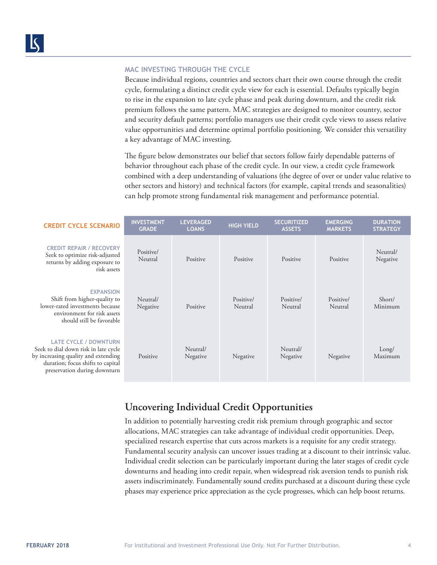#### **MAC INVESTING THROUGH THE CYCLE**

Because individual regions, countries and sectors chart their own course through the credit cycle, formulating a distinct credit cycle view for each is essential. Defaults typically begin to rise in the expansion to late cycle phase and peak during downturn, and the credit risk premium follows the same pattern. MAC strategies are designed to monitor country, sector and security default patterns; portfolio managers use their credit cycle views to assess relative value opportunities and determine optimal portfolio positioning. We consider this versatility a key advantage of MAC investing.

The figure below demonstrates our belief that sectors follow fairly dependable patterns of behavior throughout each phase of the credit cycle. In our view, a credit cycle framework combined with a deep understanding of valuations (the degree of over or under value relative to other sectors and history) and technical factors (for example, capital trends and seasonalities) can help promote strong fundamental risk management and performance potential.

| <b>CREDIT CYCLE SCENARIO</b>                                                                                                                                                     | <b>INVESTMENT</b><br><b>GRADE</b> | <b>LEVERAGED</b><br><b>LOANS</b> | <b>HIGH YIELD</b>    | <b>SECURITIZED</b><br><b>ASSETS</b> | <b>EMERGING</b><br><b>MARKETS</b> | <b>DURATION</b><br><b>STRATEGY</b> |
|----------------------------------------------------------------------------------------------------------------------------------------------------------------------------------|-----------------------------------|----------------------------------|----------------------|-------------------------------------|-----------------------------------|------------------------------------|
| <b>CREDIT REPAIR / RECOVERY</b><br>Seek to optimize risk-adjusted<br>returns by adding exposure to<br>risk assets                                                                | Positive/<br>Neutral              | Positive                         | Positive             | Positive                            | Positive                          | Neutral/<br>Negative               |
| <b>EXPANSION</b><br>Shift from higher-quality to<br>lower-rated investments because<br>environment for risk assets<br>should still be favorable                                  | Neutral/<br>Negative              | Positive                         | Positive/<br>Neutral | Positive/<br>Neutral                | Positive/<br>Neutral              | Short/<br>Minimum                  |
| <b>LATE CYCLE / DOWNTURN</b><br>Seek to dial down risk in late cycle<br>by increasing quality and extending<br>duration; focus shifts to capital<br>preservation during downturn | Positive                          | Neutral/<br>Negative             | Negative             | Neutral/<br>Negative                | Negative                          | Long/<br>Maximum                   |

## **Uncovering Individual Credit Opportunities**

In addition to potentially harvesting credit risk premium through geographic and sector allocations, MAC strategies can take advantage of individual credit opportunities. Deep, specialized research expertise that cuts across markets is a requisite for any credit strategy. Fundamental security analysis can uncover issues trading at a discount to their intrinsic value. Individual credit selection can be particularly important during the later stages of credit cycle downturns and heading into credit repair, when widespread risk aversion tends to punish risk assets indiscriminately. Fundamentally sound credits purchased at a discount during these cycle phases may experience price appreciation as the cycle progresses, which can help boost returns.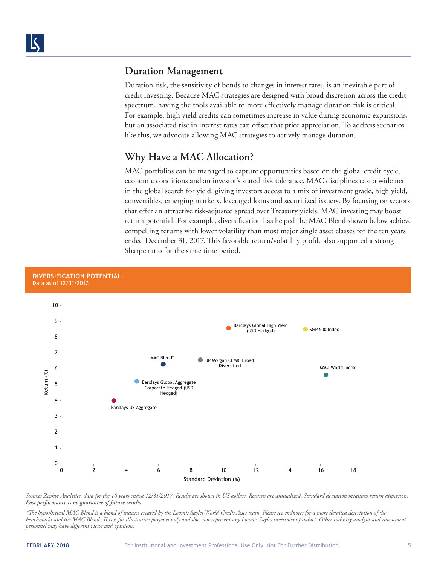## **Duration Management**

Duration risk, the sensitivity of bonds to changes in interest rates, is an inevitable part of credit investing. Because MAC strategies are designed with broad discretion across the credit spectrum, having the tools available to more effectively manage duration risk is critical. For example, high yield credits can sometimes increase in value during economic expansions, but an associated rise in interest rates can offset that price appreciation. To address scenarios like this, we advocate allowing MAC strategies to actively manage duration.

## **Why Have a MAC Allocation?**

MAC portfolios can be managed to capture opportunities based on the global credit cycle, economic conditions and an investor's stated risk tolerance. MAC disciplines cast a wide net in the global search for yield, giving investors access to a mix of investment grade, high yield, convertibles, emerging markets, leveraged loans and securitized issuers. By focusing on sectors that offer an attractive risk-adjusted spread over Treasury yields, MAC investing may boost return potential. For example, diversification has helped the MAC Blend shown below achieve compelling returns with lower volatility than most major single asset classes for the ten years ended December 31, 2017. This favorable return/volatility profile also supported a strong Sharpe ratio for the same time period.



*Source: Zephyr Analytics, data for the 10 years ended 12/31/2017. Results are shown in US dollars. Returns are annualized. Standard deviation measures return dispersion. Past performance is no guarantee of future results.* 

*\*The hypothetical MAC Blend is a blend of indexes created by the Loomis Sayles World Credit Asset team. Please see endnotes for a more detailed description of the benchmarks and the MAC Blend. This is for illustrative purposes only and does not represent any Loomis Sayles investment product. Other industry analysts and investment personnel may have different views and opinions.*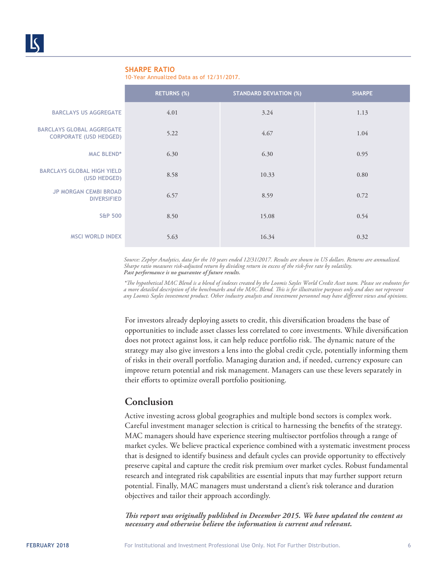#### **SHARPE RATIO**

10-Year Annualized Data as of 12/31/2017.

|                                                                   | <b>RETURNS (%)</b> | <b>STANDARD DEVIATION (%)</b> | <b>SHARPE</b> |
|-------------------------------------------------------------------|--------------------|-------------------------------|---------------|
| <b>BARCLAYS US AGGREGATE</b>                                      | 4.01               | 3.24                          | 1.13          |
| <b>BARCLAYS GLOBAL AGGREGATE</b><br><b>CORPORATE (USD HEDGED)</b> | 5.22               | 4.67                          | 1.04          |
| <b>MAC BLEND*</b>                                                 | 6.30               | 6.30                          | 0.95          |
| <b>BARCLAYS GLOBAL HIGH YIELD</b><br>(USD HEDGED)                 | 8.58               | 10.33                         | 0.80          |
| <b>JP MORGAN CEMBI BROAD</b><br><b>DIVERSIFIED</b>                | 6.57               | 8.59                          | 0.72          |
| <b>S&amp;P 500</b>                                                | 8.50               | 15.08                         | 0.54          |
| <b>MSCI WORLD INDEX</b>                                           | 5.63               | 16.34                         | 0.32          |

*Source: Zephyr Analytics, data for the 10 years ended 12/31/2017. Results are shown in US dollars. Returns are annualized. Sharpe ratio measures risk-adjusted return by dividing return in excess of the risk-free rate by volatility. Past performance is no guarantee of future results.* 

*\*The hypothetical MAC Blend is a blend of indexes created by the Loomis Sayles World Credit Asset team. Please see endnotes for a more detailed description of the benchmarks and the MAC Blend. This is for illustrative purposes only and does not represent any Loomis Sayles investment product. Other industry analysts and investment personnel may have different views and opinions.* 

For investors already deploying assets to credit, this diversification broadens the base of opportunities to include asset classes less correlated to core investments. While diversification does not protect against loss, it can help reduce portfolio risk. The dynamic nature of the strategy may also give investors a lens into the global credit cycle, potentially informing them of risks in their overall portfolio. Managing duration and, if needed, currency exposure can improve return potential and risk management. Managers can use these levers separately in their efforts to optimize overall portfolio positioning.

## **Conclusion**

Active investing across global geographies and multiple bond sectors is complex work. Careful investment manager selection is critical to harnessing the benefits of the strategy. MAC managers should have experience steering multisector portfolios through a range of market cycles. We believe practical experience combined with a systematic investment process that is designed to identify business and default cycles can provide opportunity to effectively preserve capital and capture the credit risk premium over market cycles. Robust fundamental research and integrated risk capabilities are essential inputs that may further support return potential. Finally, MAC managers must understand a client's risk tolerance and duration objectives and tailor their approach accordingly.

*This report was originally published in December 2015. We have updated the content as necessary and otherwise believe the information is current and relevant.*